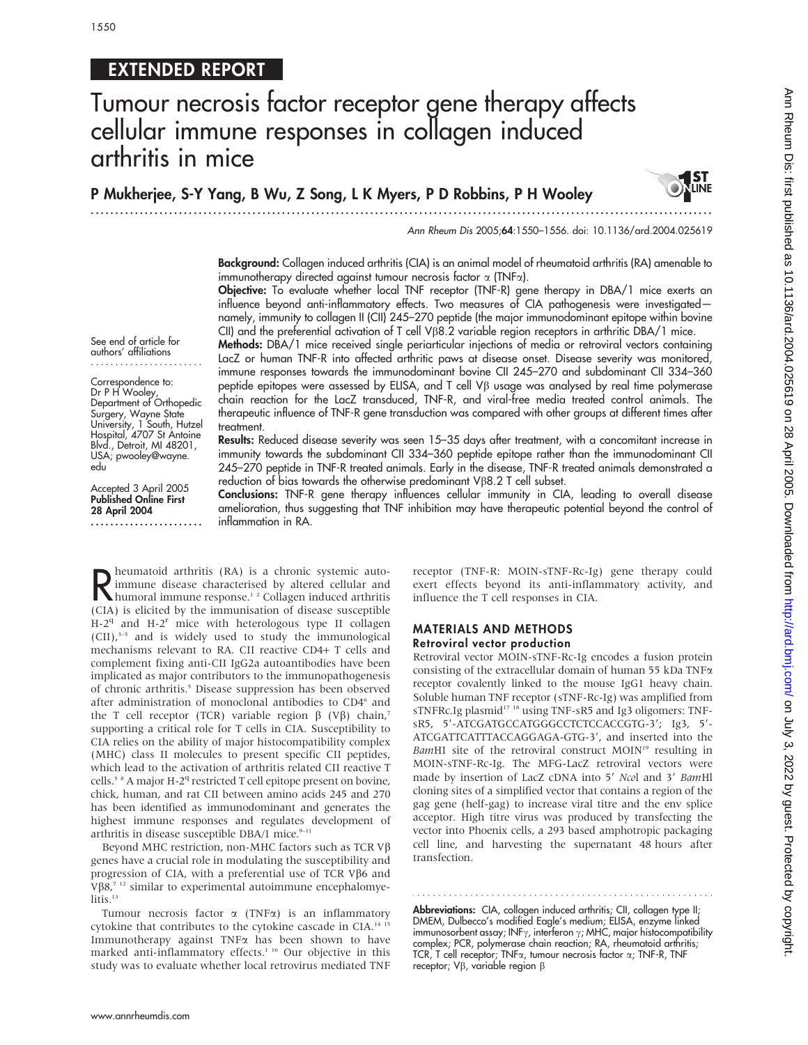## EXTENDED REPORT

# Tumour necrosis factor receptor gene therapy affects cellular immune responses in collagen induced arthritis in mice

P Mukherjee, S-Y Yang, B Wu, Z Song, L K Myers, P D Robbins, P H Wooley

...............................................................................................................................



Ann Rheum Dis 2005;64:1550–1556. doi: 10.1136/ard.2004.025619

Background: Collagen induced arthritis (CIA) is an animal model of rheumatoid arthritis (RA) amenable to immunotherapy directed against tumour necrosis factor  $\alpha$  (TNF $\alpha$ ).

Objective: To evaluate whether local TNF receptor (TNF-R) gene therapy in DBA/1 mice exerts an influence beyond anti-inflammatory effects. Two measures of CIA pathogenesis were investigated namely, immunity to collagen II (CII) 245–270 peptide (the major immunodominant epitope within bovine CII) and the preferential activation of T cell V $\beta$ 8.2 variable region receptors in arthritic DBA/1 mice.

See end of article for authors' affiliations .......................

Correspondence to: Dr P H Wooley, Department of Orthopedic Surgery, Wayne State University, 1 South, Hutzel Hospital, 4707 St Antoine Blvd., Detroit, MI 48201, USA; pwooley@wayne. edu

Accepted 3 April 2005 Published Online First 28 April 2004 ....................... Methods: DBA/1 mice received single periarticular injections of media or retroviral vectors containing LacZ or human TNF-R into affected arthritic paws at disease onset. Disease severity was monitored, immune responses towards the immunodominant bovine CII 245–270 and subdominant CII 334–360 peptide epitopes were assessed by ELISA, and T cell  $V\beta$  usage was analysed by real time polymerase chain reaction for the LacZ transduced, TNF-R, and viral-free media treated control animals. The therapeutic influence of TNF-R gene transduction was compared with other groups at different times after treatment.

Results: Reduced disease severity was seen 15–35 days after treatment, with a concomitant increase in immunity towards the subdominant CII 334–360 peptide epitope rather than the immunodominant CII 245–270 peptide in TNF-R treated animals. Early in the disease, TNF-R treated animals demonstrated a reduction of bias towards the otherwise predominant  $V\beta8.2$  T cell subset.

Conclusions: TNF-R gene therapy influences cellular immunity in CIA, leading to overall disease amelioration, thus suggesting that TNF inhibition may have therapeutic potential beyond the control of inflammation in RA.

R heumatoid arthritis (RA) is a chronic systemic auto-<br>
humoral immune response.<sup>1,2</sup> Collagen induced arthritis<br>
(CIA) is elicited by the immunication of disease succeptible immune disease characterised by altered cellular and humoral immune response.<sup>12</sup> Collagen induced arthritis (CIA) is elicited by the immunisation of disease susceptible  $H-2<sup>q</sup>$  and  $H-2<sup>r</sup>$  mice with heterologous type II collagen (CII),3–5 and is widely used to study the immunological mechanisms relevant to RA. CII reactive CD4+ T cells and complement fixing anti-CII IgG2a autoantibodies have been implicated as major contributors to the immunopathogenesis of chronic arthritis.<sup>5</sup> Disease suppression has been observed after administration of monoclonal antibodies to CD4<sup>6</sup> and the T cell receptor (TCR) variable region  $\beta$  (V $\beta$ ) chain,<sup>7</sup> supporting a critical role for T cells in CIA. Susceptibility to CIA relies on the ability of major histocompatibility complex (MHC) class II molecules to present specific CII peptides, which lead to the activation of arthritis related CII reactive T cells.<sup>5 8</sup> A major H-2<sup>q</sup> restricted T cell epitope present on bovine, chick, human, and rat CII between amino acids 245 and 270 has been identified as immunodominant and generates the highest immune responses and regulates development of arthritis in disease susceptible DBA/1 mice. $9-11$ 

Beyond MHC restriction, non-MHC factors such as TCR V $\beta$ genes have a crucial role in modulating the susceptibility and progression of CIA, with a preferential use of TCR V $\beta$ 6 and V $\beta$ 8,<sup>7</sup><sup>12</sup> similar to experimental autoimmune encephalomyelitis.<sup>13</sup>

Tumour necrosis factor  $\alpha$  (TNF $\alpha$ ) is an inflammatory cytokine that contributes to the cytokine cascade in CIA.<sup>14 15</sup> Immunotherapy against TNFa has been shown to have marked anti-inflammatory effects.<sup>1 16</sup> Our objective in this study was to evaluate whether local retrovirus mediated TNF

receptor (TNF-R: MOIN-sTNF-Rc-Ig) gene therapy could exert effects beyond its anti-inflammatory activity, and influence the T cell responses in CIA.

#### MATERIALS AND METHODS Retroviral vector production

Retroviral vector MOIN-sTNF-Rc-Ig encodes a fusion protein consisting of the extracellular domain of human 55 kDa TNFa receptor covalently linked to the mouse IgG1 heavy chain. Soluble human TNF receptor (sTNF-Rc-Ig) was amplified from sTNFRc.Ig plasmid<sup>17</sup><sup>18</sup> using TNF-sR5 and Ig3 oligomers: TNFsR5, 5'-ATCGATGCCATGGGCCTCTCCACCGTG-3'; Ig3, 5'-ATCGATTCATTTACCAGGAGA-GTG-3', and inserted into the BamHI site of the retroviral construct MOIN<sup>19</sup> resulting in MOIN-sTNF-Rc-Ig. The MFG-LacZ retroviral vectors were made by insertion of LacZ cDNA into 5' Ncol and 3' BamHl cloning sites of a simplified vector that contains a region of the gag gene (helf-gag) to increase viral titre and the env splice acceptor. High titre virus was produced by transfecting the vector into Phoenix cells, a 293 based amphotropic packaging cell line, and harvesting the supernatant 48 hours after transfection.

Abbreviations: CIA, collagen induced arthritis; CII, collagen type II; DMEM, Dulbecco's modified Eagle's medium; ELISA, enzyme linked immunosorbent assay; INF $\gamma$ , interferon  $\gamma$ ; MHC, major histocompatibility complex; PCR, polymerase chain reaction; RA, rheumatoid arthritis; TCR, T cell receptor; TNFa, tumour necrosis factor a; TNF-R, TNF receptor;  $V\beta$ , variable region  $\beta$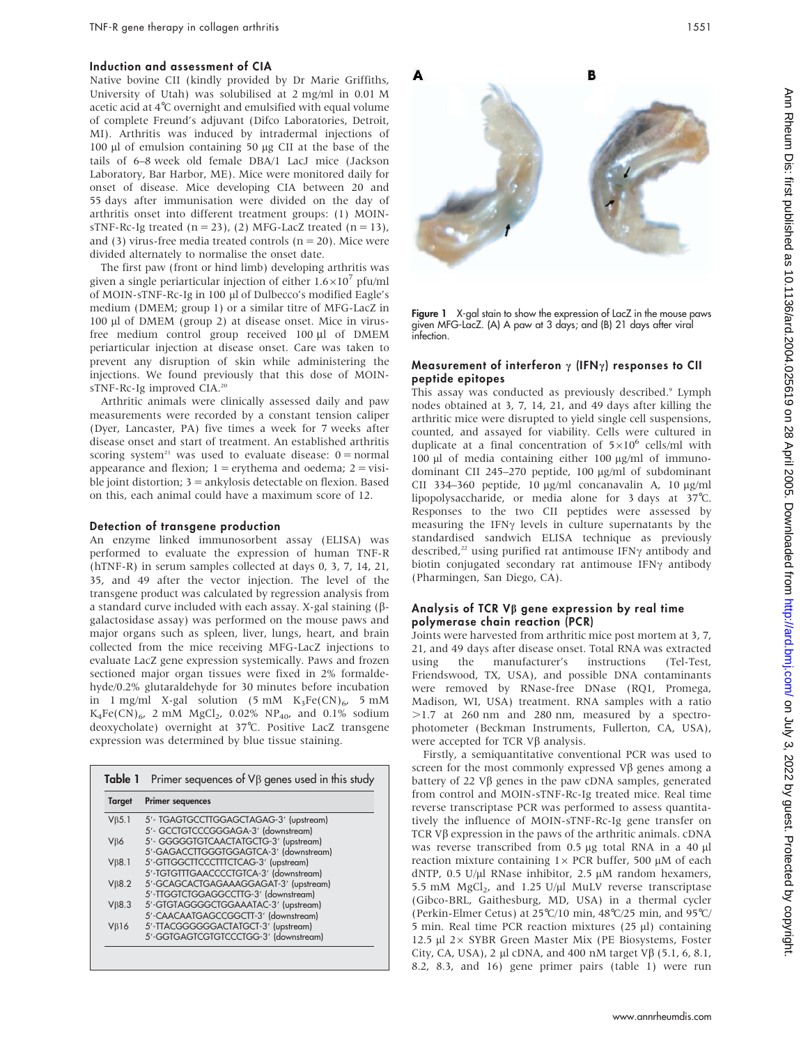#### Induction and assessment of CIA

Native bovine CII (kindly provided by Dr Marie Griffiths, University of Utah) was solubilised at 2 mg/ml in 0.01 M acetic acid at 4˚C overnight and emulsified with equal volume of complete Freund's adjuvant (Difco Laboratories, Detroit, MI). Arthritis was induced by intradermal injections of 100 μl of emulsion containing 50 μg CII at the base of the tails of 6–8 week old female DBA/1 LacJ mice (Jackson Laboratory, Bar Harbor, ME). Mice were monitored daily for onset of disease. Mice developing CIA between 20 and 55 days after immunisation were divided on the day of arthritis onset into different treatment groups: (1) MOINsTNF-Rc-Ig treated  $(n = 23)$ , (2) MFG-LacZ treated  $(n = 13)$ , and (3) virus-free media treated controls ( $n = 20$ ). Mice were divided alternately to normalise the onset date.

The first paw (front or hind limb) developing arthritis was given a single periarticular injection of either  $1.6 \times 10^7$  pfu/ml of MOIN-sTNF-Rc-Ig in 100 µl of Dulbecco's modified Eagle's medium (DMEM; group 1) or a similar titre of MFG-LacZ in 100 µl of DMEM (group 2) at disease onset. Mice in virusfree medium control group received 100 µl of DMEM periarticular injection at disease onset. Care was taken to prevent any disruption of skin while administering the injections. We found previously that this dose of MOINsTNF-Rc-Ig improved CIA.<sup>20</sup>

Arthritic animals were clinically assessed daily and paw measurements were recorded by a constant tension caliper (Dyer, Lancaster, PA) five times a week for 7 weeks after disease onset and start of treatment. An established arthritis scoring system<sup>21</sup> was used to evaluate disease:  $0 = normal$ appearance and flexion;  $1 =$  erythema and oedema;  $2 =$  visible joint distortion; 3 = ankylosis detectable on flexion. Based on this, each animal could have a maximum score of 12.

#### Detection of transgene production

An enzyme linked immunosorbent assay (ELISA) was performed to evaluate the expression of human TNF-R (hTNF-R) in serum samples collected at days 0, 3, 7, 14, 21, 35, and 49 after the vector injection. The level of the transgene product was calculated by regression analysis from a standard curve included with each assay. X-gal staining ( $\beta$ galactosidase assay) was performed on the mouse paws and major organs such as spleen, liver, lungs, heart, and brain collected from the mice receiving MFG-LacZ injections to evaluate LacZ gene expression systemically. Paws and frozen sectioned major organ tissues were fixed in 2% formaldehyde/0.2% glutaraldehyde for 30 minutes before incubation in 1 mg/ml X-gal solution (5 mM  $K_3Fe(CN)_{6}$ , 5 mM  $K_4Fe(CN)_{6}$ , 2 mM MgCl<sub>2</sub>, 0.02% NP<sub>40</sub>, and 0.1% sodium deoxycholate) overnight at 37˚C. Positive LacZ transgene expression was determined by blue tissue staining.

| <b>Target</b>  | <b>Primer sequences</b>                |
|----------------|----------------------------------------|
| $V\beta$ 5.1   | 5'- TGAGTGCCTTGGAGCTAGAG-3' (upstream) |
|                | 5'- GCCTGTCCCGGGAGA-3' (downstream)    |
| $V\beta6$      | 5'- GGGGGTGTCAACTATGCTG-3' (upstream)  |
|                | 5'-GAGACCTTGGGTGGAGTCA-3' (downstream) |
| $V_{\beta}8.1$ | 5'-GTTGGCTTCCCTTTCTCAG-3' (upstream)   |
|                | 5'-TGTGTTTGAACCCCTGTCA-3' (downstream) |
| $V\beta8.2$    | 5'-GCAGCACTGAGAAAGGAGAT-3' (upstream)  |
|                | 5'-TIGGTCTGGAGGCCTTG-3' (downstream)   |
| $V\beta8.3$    | 5'-GTGTAGGGGCTGGAAATAC-3' (upstream)   |
|                | 5'-CAACAATGAGCCGGCTT-3' (downstream)   |
| $V\beta$ 16    | 5'-TTACGGGGGGACTATGCT-3' (upstream)    |
|                | 5'-GGTGAGTCGTGTCCCTGG-3' (downstream)  |



Figure 1 X-gal stain to show the expression of LacZ in the mouse paws given MFG-LacZ. (A) A paw at 3 days; and (B) 21 days after viral infection.

#### Measurement of interferon  $\gamma$  (IFN $\gamma$ ) responses to CII peptide epitopes

This assay was conducted as previously described.<sup>9</sup> Lymph nodes obtained at 3, 7, 14, 21, and 49 days after killing the arthritic mice were disrupted to yield single cell suspensions, counted, and assayed for viability. Cells were cultured in duplicate at a final concentration of  $5\times10^6$  cells/ml with 100 μl of media containing either 100 μg/ml of immunodominant CII 245-270 peptide, 100 µg/ml of subdominant CII 334-360 peptide, 10  $\mu$ g/ml concanavalin A, 10  $\mu$ g/ml lipopolysaccharide, or media alone for 3 days at 37˚C. Responses to the two CII peptides were assessed by measuring the IFN $\gamma$  levels in culture supernatants by the standardised sandwich ELISA technique as previously described,<sup>22</sup> using purified rat antimouse IFN $\gamma$  antibody and biotin conjugated secondary rat antimouse IFN $\gamma$  antibody (Pharmingen, San Diego, CA).

#### Analysis of TCR  $V\beta$  gene expression by real time polymerase chain reaction (PCR)

Joints were harvested from arthritic mice post mortem at 3, 7, 21, and 49 days after disease onset. Total RNA was extracted using the manufacturer's instructions (Tel-Test, Friendswood, TX, USA), and possible DNA contaminants were removed by RNase-free DNase (RQ1, Promega, Madison, WI, USA) treatment. RNA samples with a ratio  $>1.7$  at 260 nm and 280 nm, measured by a spectrophotometer (Beckman Instruments, Fullerton, CA, USA), were accepted for TCR  $V\beta$  analysis.

Firstly, a semiquantitative conventional PCR was used to screen for the most commonly expressed  $V\beta$  genes among a battery of 22 V $\beta$  genes in the paw cDNA samples, generated from control and MOIN-sTNF-Rc-Ig treated mice. Real time reverse transcriptase PCR was performed to assess quantitatively the influence of MOIN-sTNF-Rc-Ig gene transfer on TCR V $\beta$  expression in the paws of the arthritic animals. cDNA was reverse transcribed from 0.5 µg total RNA in a 40 µl reaction mixture containing  $1 \times PCR$  buffer, 500  $\mu$ M of each dNTP, 0.5 U/µl RNase inhibitor, 2.5  $\mu$ M random hexamers, 5.5 mM  $MgCl<sub>2</sub>$ , and 1.25 U/µl MuLV reverse transcriptase (Gibco-BRL, Gaithesburg, MD, USA) in a thermal cycler (Perkin-Elmer Cetus) at 25˚C/10 min, 48˚C/25 min, and 95˚C/ 5 min. Real time PCR reaction mixtures  $(25 \mu l)$  containing 12.5  $\mu$ l 2 $\times$  SYBR Green Master Mix (PE Biosystems, Foster City, CA, USA), 2 µl cDNA, and 400 nM target V $\beta$  (5.1, 6, 8.1, 8.2, 8.3, and 16) gene primer pairs (table 1) were run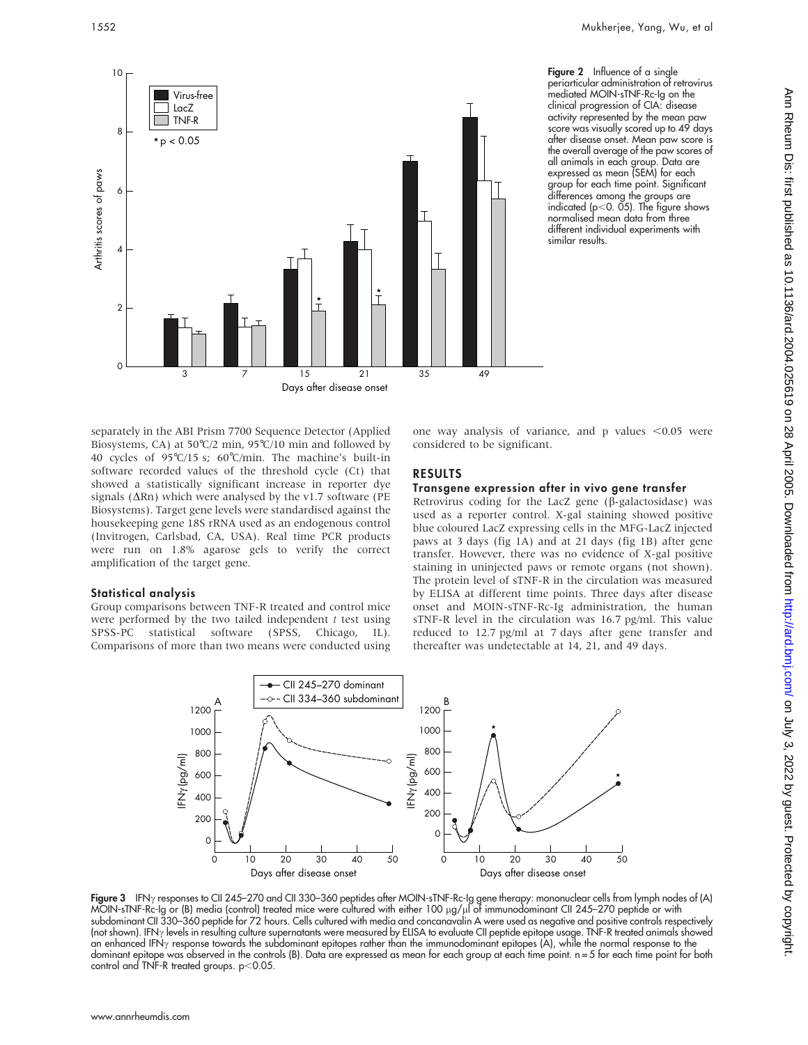

Figure 2 Influence of a single periarticular administration of retrovirus mediated MOIN-sTNF-Rc-Ig on the clinical progression of CIA: disease activity represented by the mean paw score was visually scored up to 49 days after disease onset. Mean paw score is the overall average of the paw scores of all animals in each group. Data are expressed as mean (SEM) for each group for each time point. Significant differences among the groups are indicated ( $p$ <0. 05). The figure shows normalised mean data from three different individual experiments with similar results.

separately in the ABI Prism 7700 Sequence Detector (Applied Biosystems, CA) at 50˚C/2 min, 95˚C/10 min and followed by 40 cycles of 95˚C/15 s; 60˚C/min. The machine's built-in software recorded values of the threshold cycle (Ct) that showed a statistically significant increase in reporter dye signals ( $\Delta$ Rn) which were analysed by the v1.7 software (PE Biosystems). Target gene levels were standardised against the housekeeping gene 18S rRNA used as an endogenous control (Invitrogen, Carlsbad, CA, USA). Real time PCR products were run on 1.8% agarose gels to verify the correct amplification of the target gene.

#### Statistical analysis

Group comparisons between TNF-R treated and control mice were performed by the two tailed independent  $t$  test using SPSS-PC statistical software (SPSS, Chicago, IL). Comparisons of more than two means were conducted using one way analysis of variance, and p values  $< 0.05$  were considered to be significant.

#### RESULTS

#### Transgene expression after in vivo gene transfer

Retrovirus coding for the LacZ gene ( $\beta$ -galactosidase) was used as a reporter control. X-gal staining showed positive blue coloured LacZ expressing cells in the MFG-LacZ injected paws at 3 days (fig 1A) and at 21 days (fig 1B) after gene transfer. However, there was no evidence of X-gal positive staining in uninjected paws or remote organs (not shown). The protein level of sTNF-R in the circulation was measured by ELISA at different time points. Three days after disease onset and MOIN-sTNF-Rc-Ig administration, the human sTNF-R level in the circulation was 16.7 pg/ml. This value reduced to 12.7 pg/ml at 7 days after gene transfer and thereafter was undetectable at 14, 21, and 49 days.



**Figure 3** IFN<sub>Y</sub> responses to CII 245–270 and CII 330–360 peptides after MOIN-sTNF-Rc-Ig gene therapy: mononuclear cells from lymph nodes of (A) MOIN-sTNF-Rc-Ig or (B) media (control) treated mice were cultured with either 100 µg/µl of immunodominant CII 245–270 peptide or with subdominant CII 330–360 peptide for 72 hours. Cells cultured with media and concanavalin A were used as negative and positive controls respectively (not shown). IFN $\gamma$  levels in resulting culture supernatants were measured by ELISA to evaluate CII peptide epitope usage. TNF-R treated animals showed an enhanced IFN $\gamma$  response towards the subdominant epitopes rather than the immunodominant epitopes (A), while the normal response to the dominant epitope was observed in the controls (B). Data are expressed as mean for each group at each time point. n = 5 for each time point for both control and TNF-R treated groups.  $p<0.05$ .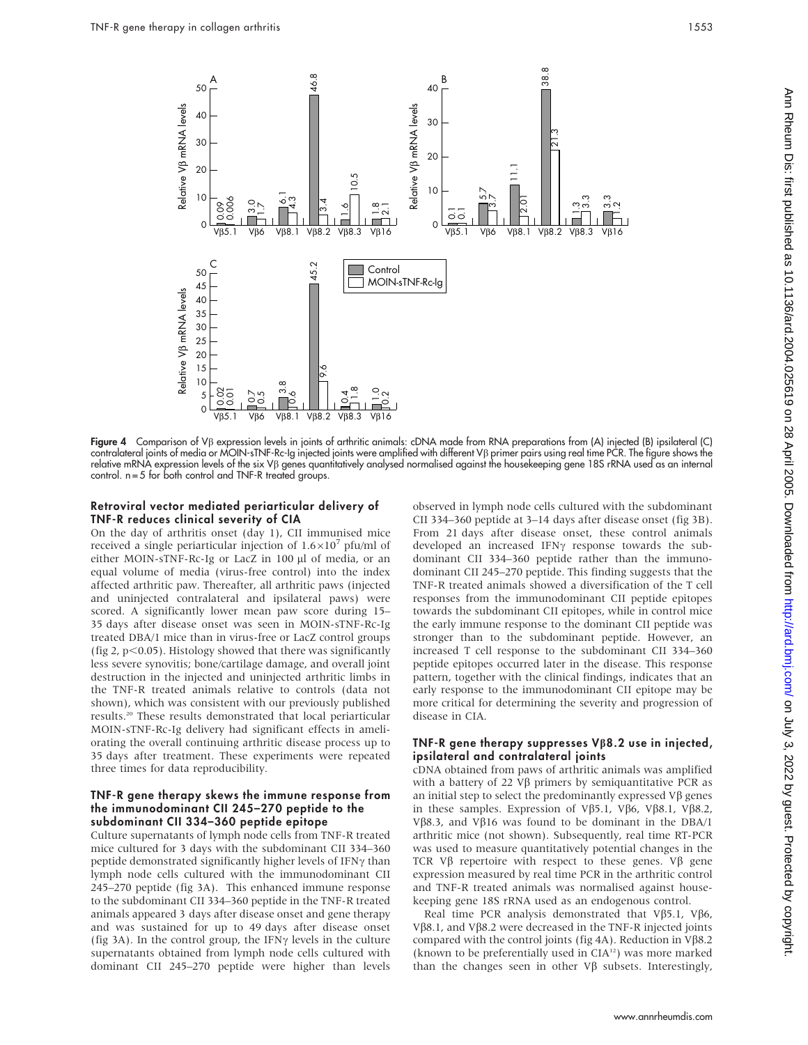

Figure 4 Comparison of Vb expression levels in joints of arthritic animals: cDNA made from RNA preparations from (A) injected (B) ipsilateral (C) contralateral joints of media or MOIN-sTNF-Rc-Ig injected joints were amplified with different Vb primer pairs using real time PCR. The figure shows the relative mRNA expression levels of the six V<sub>B</sub> genes quantitatively analysed normalised against the housekeeping gene 18S rRNA used as an internal control. n = 5 for both control and TNF-R treated groups.

#### Retroviral vector mediated periarticular delivery of TNF-R reduces clinical severity of CIA

On the day of arthritis onset (day 1), CII immunised mice received a single periarticular injection of  $1.6 \times 10^7$  pfu/ml of either MOIN-sTNF-Rc-Ig or LacZ in 100 µl of media, or an equal volume of media (virus-free control) into the index affected arthritic paw. Thereafter, all arthritic paws (injected and uninjected contralateral and ipsilateral paws) were scored. A significantly lower mean paw score during 15– 35 days after disease onset was seen in MOIN-sTNF-Rc-Ig treated DBA/1 mice than in virus-free or LacZ control groups (fig 2,  $p<0.05$ ). Histology showed that there was significantly less severe synovitis; bone/cartilage damage, and overall joint destruction in the injected and uninjected arthritic limbs in the TNF-R treated animals relative to controls (data not shown), which was consistent with our previously published results.20 These results demonstrated that local periarticular MOIN-sTNF-Rc-Ig delivery had significant effects in ameliorating the overall continuing arthritic disease process up to 35 days after treatment. These experiments were repeated three times for data reproducibility.

#### TNF-R gene therapy skews the immune response from the immunodominant CII 245–270 peptide to the subdominant CII 334–360 peptide epitope

Culture supernatants of lymph node cells from TNF-R treated mice cultured for 3 days with the subdominant CII 334–360 peptide demonstrated significantly higher levels of IFN $\gamma$  than lymph node cells cultured with the immunodominant CII 245–270 peptide (fig 3A). This enhanced immune response to the subdominant CII 334–360 peptide in the TNF-R treated animals appeared 3 days after disease onset and gene therapy and was sustained for up to 49 days after disease onset (fig 3A). In the control group, the IFN $\gamma$  levels in the culture supernatants obtained from lymph node cells cultured with dominant CII 245–270 peptide were higher than levels

observed in lymph node cells cultured with the subdominant CII 334–360 peptide at 3–14 days after disease onset (fig 3B). From 21 days after disease onset, these control animals developed an increased IFN $\gamma$  response towards the subdominant CII 334–360 peptide rather than the immunodominant CII 245–270 peptide. This finding suggests that the TNF-R treated animals showed a diversification of the T cell responses from the immunodominant CII peptide epitopes towards the subdominant CII epitopes, while in control mice the early immune response to the dominant CII peptide was stronger than to the subdominant peptide. However, an increased T cell response to the subdominant CII 334–360 peptide epitopes occurred later in the disease. This response pattern, together with the clinical findings, indicates that an early response to the immunodominant CII epitope may be more critical for determining the severity and progression of disease in CIA.

#### TNF-R gene therapy suppresses  $V\beta8.2$  use in injected, ipsilateral and contralateral joints

cDNA obtained from paws of arthritic animals was amplified with a battery of 22  $V\beta$  primers by semiquantitative PCR as an initial step to select the predominantly expressed  $V\beta$  genes in these samples. Expression of V $\beta$ 5.1, V $\beta$ 6, V $\beta$ 8.1, V $\beta$ 8.2, V $\beta$ 8.3, and V $\beta$ 16 was found to be dominant in the DBA/1 arthritic mice (not shown). Subsequently, real time RT-PCR was used to measure quantitatively potential changes in the TCR V $\beta$  repertoire with respect to these genes. V $\beta$  gene expression measured by real time PCR in the arthritic control and TNF-R treated animals was normalised against housekeeping gene 18S rRNA used as an endogenous control.

Real time PCR analysis demonstrated that V $\beta$ 5.1, V $\beta$ 6, V $\beta$ 8.1, and V $\beta$ 8.2 were decreased in the TNF-R injected joints compared with the control joints (fig 4A). Reduction in  $V\beta8.2$ (known to be preferentially used in  $CIA<sup>12</sup>$ ) was more marked than the changes seen in other  $V\beta$  subsets. Interestingly,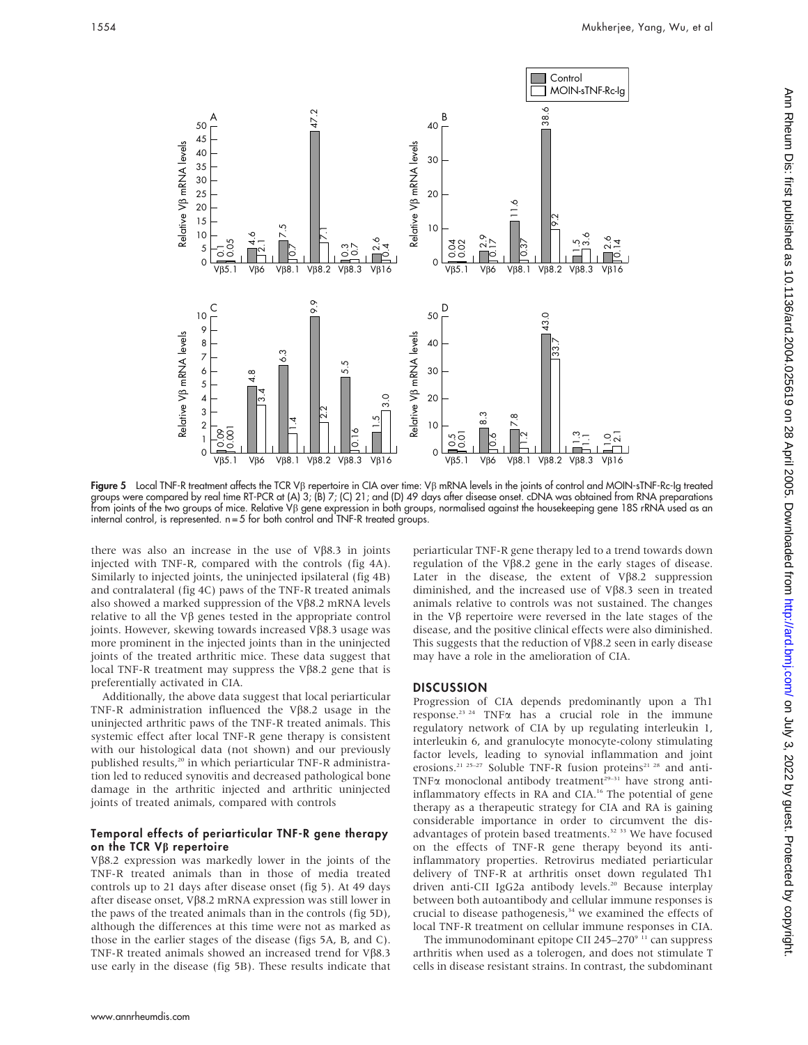

Figure 5 Local TNF-R treatment affects the TCR V<sub>B</sub> repertoire in CIA over time: V<sub>B</sub> mRNA levels in the joints of control and MOIN-sTNF-Rc-Ig treated groups were compared by real time RT-PCR at (A) 3; (B) 7; (C) 21; and (D) 49 days after disease onset. cDNA was obtained from RNA preparations from joints of the two groups of mice. Relative Vb gene expression in both groups, normalised against the housekeeping gene 18S rRNA used as an internal control, is represented. n = 5 for both control and TNF-R treated groups.

there was also an increase in the use of  $V\beta8.3$  in joints injected with TNF-R, compared with the controls (fig 4A). Similarly to injected joints, the uninjected ipsilateral (fig 4B) and contralateral (fig 4C) paws of the TNF-R treated animals also showed a marked suppression of the V $\beta$ 8.2 mRNA levels relative to all the  $V\beta$  genes tested in the appropriate control joints. However, skewing towards increased  $V\beta8.3$  usage was more prominent in the injected joints than in the uninjected joints of the treated arthritic mice. These data suggest that local TNF-R treatment may suppress the V $\beta$ 8.2 gene that is preferentially activated in CIA.

Additionally, the above data suggest that local periarticular TNF-R administration influenced the V $\beta$ 8.2 usage in the uninjected arthritic paws of the TNF-R treated animals. This systemic effect after local TNF-R gene therapy is consistent with our histological data (not shown) and our previously published results,<sup>20</sup> in which periarticular TNF-R administration led to reduced synovitis and decreased pathological bone damage in the arthritic injected and arthritic uninjected joints of treated animals, compared with controls

#### Temporal effects of periarticular TNF-R gene therapy on the TCR  $V\beta$  repertoire

Vb8.2 expression was markedly lower in the joints of the TNF-R treated animals than in those of media treated controls up to 21 days after disease onset (fig 5). At 49 days after disease onset, V $\beta$ 8.2 mRNA expression was still lower in the paws of the treated animals than in the controls (fig 5D), although the differences at this time were not as marked as those in the earlier stages of the disease (figs 5A, B, and C). TNF-R treated animals showed an increased trend for  $V\beta8.3$ use early in the disease (fig 5B). These results indicate that periarticular TNF-R gene therapy led to a trend towards down regulation of the V $\beta$ 8.2 gene in the early stages of disease. Later in the disease, the extent of  $V\beta8.2$  suppression diminished, and the increased use of  $V\beta8.3$  seen in treated animals relative to controls was not sustained. The changes in the  $V\beta$  repertoire were reversed in the late stages of the disease, and the positive clinical effects were also diminished. This suggests that the reduction of  $V\beta8.2$  seen in early disease may have a role in the amelioration of CIA.

### **DISCUSSION**

Progression of CIA depends predominantly upon a Th1 response.<sup>23 24</sup> TNF $\alpha$  has a crucial role in the immune regulatory network of CIA by up regulating interleukin 1, interleukin 6, and granulocyte monocyte-colony stimulating factor levels, leading to synovial inflammation and joint erosions.<sup>21 25-27</sup> Soluble TNF-R fusion proteins<sup>21 28</sup> and anti-TNF $\alpha$  monoclonal antibody treatment<sup>29-31</sup> have strong antiinflammatory effects in RA and CIA.<sup>16</sup> The potential of gene therapy as a therapeutic strategy for CIA and RA is gaining considerable importance in order to circumvent the disadvantages of protein based treatments.<sup>32</sup> <sup>33</sup> We have focused on the effects of TNF-R gene therapy beyond its antiinflammatory properties. Retrovirus mediated periarticular delivery of TNF-R at arthritis onset down regulated Th1 driven anti-CII IgG2a antibody levels.<sup>20</sup> Because interplay between both autoantibody and cellular immune responses is crucial to disease pathogenesis,<sup>34</sup> we examined the effects of local TNF-R treatment on cellular immune responses in CIA.

The immunodominant epitope CII 245–270 $9<sup>11</sup>$  can suppress arthritis when used as a tolerogen, and does not stimulate T cells in disease resistant strains. In contrast, the subdominant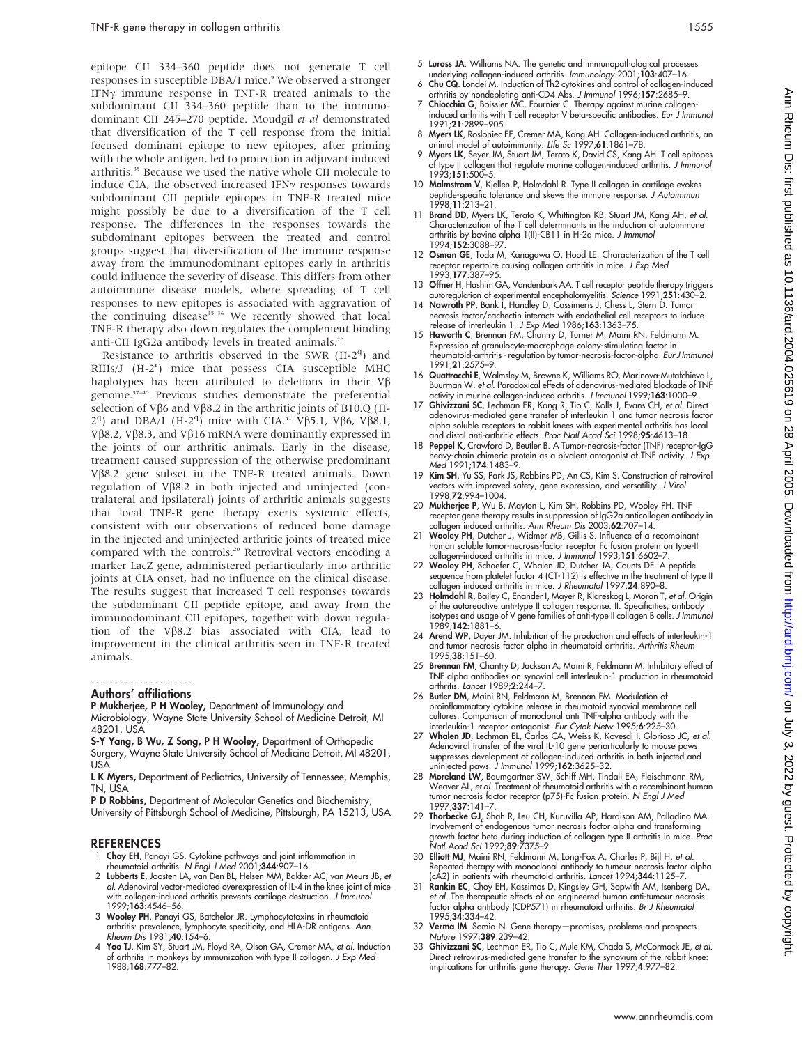epitope CII 334–360 peptide does not generate T cell responses in susceptible DBA/1 mice.<sup>9</sup> We observed a stronger IFN $\gamma$  immune response in TNF-R treated animals to the subdominant CII 334–360 peptide than to the immunodominant CII 245–270 peptide. Moudgil et al demonstrated that diversification of the T cell response from the initial focused dominant epitope to new epitopes, after priming with the whole antigen, led to protection in adjuvant induced arthritis.<sup>35</sup> Because we used the native whole CII molecule to induce CIA, the observed increased IFN $\gamma$  responses towards subdominant CII peptide epitopes in TNF-R treated mice might possibly be due to a diversification of the T cell response. The differences in the responses towards the subdominant epitopes between the treated and control groups suggest that diversification of the immune response away from the immunodominant epitopes early in arthritis could influence the severity of disease. This differs from other autoimmune disease models, where spreading of T cell responses to new epitopes is associated with aggravation of the continuing disease<sup>35 36</sup> We recently showed that local TNF-R therapy also down regulates the complement binding anti-CII IgG2a antibody levels in treated animals.<sup>20</sup>

Resistance to arthritis observed in the SWR  $(H-2<sup>q</sup>)$  and RIIIs/J (H-2<sup>r</sup>) mice that possess CIA susceptible MHC haplotypes has been attributed to deletions in their  $V\beta$ genome.37–40 Previous studies demonstrate the preferential selection of V $\beta$ 6 and V $\beta$ 8.2 in the arthritic joints of B10.Q (H-2<sup>q</sup>) and DBA/1 (H-2<sup>q</sup>) mice with CIA.<sup>41</sup> Vβ5.1, Vβ6, Vβ8.1, V $\beta$ 8.2, V $\beta$ 8.3, and V $\beta$ 16 mRNA were dominantly expressed in the joints of our arthritic animals. Early in the disease, treatment caused suppression of the otherwise predominant Vb8.2 gene subset in the TNF-R treated animals. Down regulation of  $V\beta8.2$  in both injected and uninjected (contralateral and ipsilateral) joints of arthritic animals suggests that local TNF-R gene therapy exerts systemic effects, consistent with our observations of reduced bone damage in the injected and uninjected arthritic joints of treated mice compared with the controls.<sup>20</sup> Retroviral vectors encoding a marker LacZ gene, administered periarticularly into arthritic joints at CIA onset, had no influence on the clinical disease. The results suggest that increased T cell responses towards the subdominant CII peptide epitope, and away from the immunodominant CII epitopes, together with down regulation of the V $\beta$ 8.2 bias associated with CIA, lead to improvement in the clinical arthritis seen in TNF-R treated animals.

#### Authors' affiliations .....................

P Mukherjee, P H Wooley, Department of Immunology and Microbiology, Wayne State University School of Medicine Detroit, MI 48201, USA

S-Y Yang, B Wu, Z Song, P H Wooley, Department of Orthopedic Surgery, Wayne State University School of Medicine Detroit, MI 48201, USA

L K Myers, Department of Pediatrics, University of Tennessee, Memphis, TN, USA

P D Robbins, Department of Molecular Genetics and Biochemistry University of Pittsburgh School of Medicine, Pittsburgh, PA 15213, USA

#### REFERENCES

- 1 Choy EH, Panayi GS. Cytokine pathways and joint inflammation in rheumatoid arthritis. N Engl J Med 2001;344:907–16.
- 2 Lubberts E, Joosten LA, van Den BL, Helsen MM, Bakker AC, van Meurs JB, et al. Adenoviral vector-mediated overexpression of IL-4 in the knee joint of mice with collagen-induced arthritis prevents cartilage destruction. J Immunol 1999;163:4546–56.
- 3 Wooley PH, Panayi GS, Batchelor JR. Lymphocytotoxins in rheumatoid arthritis: prevalence, lymphocyte specificity, and HLA-DR antigens. Ann Rheum Dis 1981;40:154–6.
- 4 Yoo TJ, Kim SY, Stuart JM, Floyd RA, Olson GA, Cremer MA, et al. Induction of arthritis in monkeys by immunization with type II collagen. J Exp Med 1988;168:777–82.
- 5 Luross JA. Williams NA. The genetic and immunopathological processes underlying collagen-induced arthritis. Immunology 2001;103:407–16.
- 6 Chu CQ. Londei M. Induction of Th2 cytokines and control of collagen-induced
- arthritis by nondepleting anti-CD4 Abs. *J Immunol* 1996;**157**:2685–9.<br>7 **Chiocchia G**, Boissier MC, Fournier C. Therapy against murine collageninduced arthritis with T cell receptor V beta-specific antibodies. Eur J Immunol 1991;21:2899–905.
- 8 Myers LK, Rosloniec EF, Cremer MA, Kang AH. Collagen-induced arthritis, an animal model of autoimmunity. Life Sc 1997;61:1861–78.
- 9 Myers LK, Seyer JM, Stuart JM, Terato K, David CS, Kang AH. T cell epitopes of type II collagen that regulate murine collagen-induced arthritis. J Immunol 1993;151:500–5.
- 10 Malmstrom V, Kjellen P, Holmdahl R. Type II collagen in cartilage evokes peptide-specific tolerance and skews the immune response. J Autoimmun 1998;11:213–21.
- 11 Brand DD, Myers LK, Terato K, Whittington KB, Stuart JM, Kang AH, et al. Characterization of the T cell determinants in the induction of autoimmune arthritis by bovine alpha 1(II)-CB11 in H-2q mice. J Immunol 1994;152:3088–97.
- 12 Osman GE, Toda M, Kanagawa O, Hood LE. Characterization of the T cell receptor repertoire causing collagen arthritis in mice. J Exp Med 1993;177:387–95.
- 13 Offner H, Hashim GA, Vandenbark AA. T cell receptor peptide therapy triggers autoregulation of experimental encephalomyelitis. Science 1991;251:430–2.
- 14 Nawroth PP, Bank I, Handley D, Cassimeris J, Chess L, Stern D. Tumor necrosis factor/cachectin interacts with endothelial cell receptors to induce<br>release of interleukin 1. *J Exp Med* 1986;**163**:1363–75.
- 15 Haworth C, Brennan FM, Chantry D, Turner M, Maini RN, Feldmann M. Expression of granulocyte-macrophage colony-stimulating factor in rheumatoid-arthritis - regulation by tumor-necrosis-factor-alpha. Eur J Immunol 1991;21:2575–9.
- 16 Quattrocchi E, Walmsley M, Browne K, Williams RO, Marinova-Mutafchieva L Buurman W, et al. Paradoxical effects of adenovirus-mediated blockade of TNF activity in murine collagen-induced arthritis. J Immunol 1999;163:1000–9.
- 17 Ghivizzani SC, Lechman ER, Kang R, Tio C, Kolls J, Evans CH, et al. Direct adenovirus-mediated gene transfer of interleukin 1 and tumor necrosis factor alpha soluble receptors to rabbit knees with experimental arthritis has local and distal anti-arthritic effects. Proc Natl Acad Sci 1998;95:4613–18.
- 18 Peppel K, Crawford D, Beutler B. A Tumor-necrosis-factor (TNF) receptor-IgG heavy-chain chimeric protein as a bivalent antagonist of TNF activity. J Exp Med 1991;174:1483–9.
- 19 Kim SH, Yu SS, Park JS, Robbins PD, An CS, Kim S. Construction of retroviral vectors with improved safety, gene expression, and versatility. J Virol 1998;72:994–1004.
- 20 Mukherjee P, Wu B, Mayton L, Kim SH, Robbins PD, Wooley PH. TNF receptor gene therapy results in suppression of IgG2a anticollagen antibody in collagen induced arthritis. Ann Rheum Dis 2003;62:707–14.
- 21 Wooley PH, Dutcher J, Widmer MB, Gillis S. Influence of a recombinant human soluble tumor-necrosis-factor receptor Fc fusion protein on type-II collagen-induced arthritis in mice. J Immunol 1993;151:6602–7.
- 22 Wooley PH, Schaefer C, Whalen JD, Dutcher JA, Counts DF. A peptide sequence from platelet factor 4 (CT-112) is effective in the treatment of type II collagen induced arthritis in mice. J Rheumatol 1997;24:890–8.
- 23 Holmdahl R, Bailey C, Enander I, Mayer R, Klareskog L, Moran T, et al. Origin of the autoreactive anti-type II collagen response. II. Specificities, antibody isotypes and usage of V gene families of anti-type II collagen B cells. J Immunol 1989;142:1881–6.
- 24 Arend WP, Dayer JM. Inhibition of the production and effects of interleukin-1 and tumor necrosis factor alpha in rheumatoid arthritis. Arthritis Rheum 1995;38:151–60.
- 25 Brennan FM, Chantry D, Jackson A, Maini R, Feldmann M. Inhibitory effect of TNF alpha antibodies on synovial cell interleukin-1 production in rheumatoid arthritis. Lancet 1989;2:244–7.
- 26 Butler DM, Maini RN, Feldmann M, Brennan FM. Modulation of proinflammatory cytokine release in rheumatoid synovial membrane cell cultures. Comparison of monoclonal anti TNF-alpha antibody with the
- interleukin-1 receptor antagonist. *Eur Cytok Netw* 1995;**6**:225–30.<br>27 Whalen JD, Lechman EL, Carlos CA, Weiss K, Kovesdi I, Glorioso JC, *et al.* Adenoviral transfer of the viral IL-10 gene periarticularly to mouse paws suppresses development of collagen-induced arthritis in both injected and uninjected paws. J Immunol 1999;162:3625-32.
- 28 Moreland LW, Baumgartner SW, Schiff MH, Tindall EA, Fleischmann RM, Weaver AL, et al. Treatment of rheumatoid arthritis with a recombinant human tumor necrosis factor receptor (p75)-Fc fusion protein. N Engl J Med 1997;337:141–7.
- 29 Thorbecke GJ, Shah R, Leu CH, Kuruvilla AP, Hardison AM, Palladino MA. Involvement of endogenous tumor necrosis factor alpha and transforming growth factor beta during induction of collagen type II arthritis in mice. Proc Natl Acad Sci 1992;89:7375–9.
- 30 Elliott MJ, Maini RN, Feldmann M, Long-Fox A, Charles P, Bijl H, et al. Repeated therapy with monoclonal antibody to tumour necrosis factor alpha (cA2) in patients with rheumatoid arthritis. Lancet 1994;344:1125–7.
- 31 Rankin EC, Choy EH, Kassimos D, Kingsley GH, Sopwith AM, Isenberg DA, et al. The therapeutic effects of an engineered human anti-tumour necrosis factor alpha antibody (CDP571) in rheumatoid arthritis. Br J Rheumatol 1995;34:334–42.
- 32 Verma IM. Somia N. Gene therapy-promises, problems and prospects. Nature 1997;389:239–42.
- 33 Ghivizzani SC, Lechman ER, Tio C, Mule KM, Chada S, McCormack JE, et al. Direct retrovirus-mediated gene transfer to the synovium of the rabbit knee: implications for arthritis gene therapy. Gene Ther 1997;4:977–82.